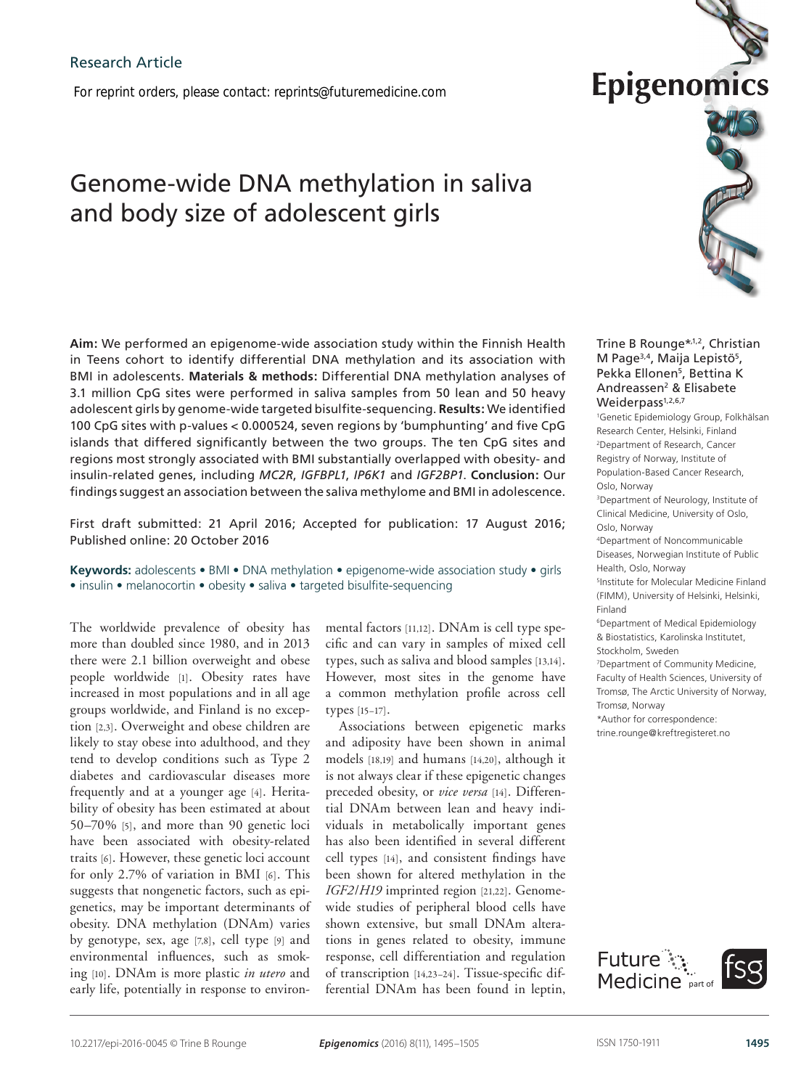*For reprint orders, please contact: reprints@futuremedicine.com*

# Genome-wide DNA methylation in saliva and body size of adolescent girls

**Aim:** We performed an epigenome-wide association study within the Finnish Health in Teens cohort to identify differential DNA methylation and its association with BMI in adolescents. **Materials & methods:** Differential DNA methylation analyses of 3.1 million CpG sites were performed in saliva samples from 50 lean and 50 heavy adolescent girls by genome-wide targeted bisulfite-sequencing. **Results:** We identified 100 CpG sites with p-values < 0.000524, seven regions by 'bumphunting' and five CpG islands that differed significantly between the two groups. The ten CpG sites and regions most strongly associated with BMI substantially overlapped with obesity- and insulin-related genes, including *MC2R*, *IGFBPL1*, *IP6K1* and *IGF2BP1*. **Conclusion:** Our findings suggest an association between the saliva methylome and BMI in adolescence.

First draft submitted: 21 April 2016; Accepted for publication: 17 August 2016; Published online: 20 October 2016

**Keywords:** adolescents • BMI • DNA methylation • epigenome-wide association study • girls • insulin • melanocortin • obesity • saliva • targeted bisulfite-sequencing

The worldwide prevalence of obesity has more than doubled since 1980, and in 2013 there were 2.1 billion overweight and obese people worldwide [1]. Obesity rates have increased in most populations and in all age groups worldwide, and Finland is no exception [2,3]. Overweight and obese children are likely to stay obese into adulthood, and they tend to develop conditions such as Type 2 diabetes and cardiovascular diseases more frequently and at a younger age [4]. Heritability of obesity has been estimated at about 50–70% [5], and more than 90 genetic loci have been associated with obesity-related traits [6]. However, these genetic loci account for only 2.7% of variation in BMI [6]. This suggests that nongenetic factors, such as epigenetics, may be important determinants of obesity. DNA methylation (DNAm) varies by genotype, sex, age [7,8], cell type [9] and environmental influences, such as smoking [10]. DNAm is more plastic *in utero* and early life, potentially in response to environ-

mental factors [11,12]. DNAm is cell type specific and can vary in samples of mixed cell types, such as saliva and blood samples [13,14]. However, most sites in the genome have a common methylation profile across cell types [15–17].

Associations between epigenetic marks and adiposity have been shown in animal models [18,19] and humans [14,20], although it is not always clear if these epigenetic changes preceded obesity, or *vice versa* [14]. Differential DNAm between lean and heavy individuals in metabolically important genes has also been identified in several different cell types [14], and consistent findings have been shown for altered methylation in the *IGF2*/*H19* imprinted region [21,22]. Genomewide studies of peripheral blood cells have shown extensive, but small DNAm alterations in genes related to obesity, immune response, cell differentiation and regulation of transcription [14,23–24]. Tissue-specific differential DNAm has been found in leptin,



Epigenomio

1 Genetic Epidemiology Group, Folkhälsan Research Center, Helsinki, Finland 2 Department of Research, Cancer Registry of Norway, Institute of Population-Based Cancer Research, Oslo, Norway 3Department of Neurology, Institute of Clinical Medicine, University of Oslo, Oslo, Norway 4Department of Noncommunicable Diseases, Norwegian Institute of Public Health, Oslo, Norway 5Institute for Molecular Medicine Finland (FIMM), University of Helsinki, Helsinki, Finland 6Department of Medical Epidemiology & Biostatistics, Karolinska Institutet, Stockholm, Sweden 7 Department of Community Medicine, Faculty of Health Sciences, University of Tromsø, The Arctic University of Norway, Tromsø, Norway \*Author for correspondence: trine.rounge@kreftregisteret.no

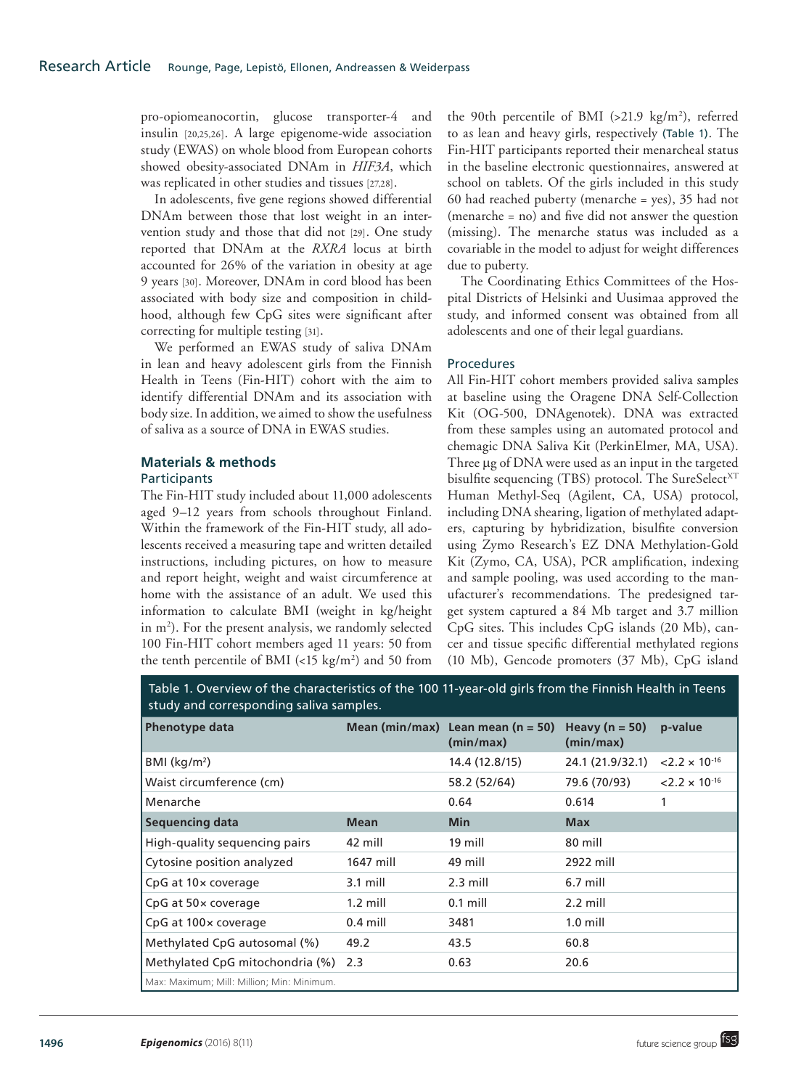pro-opiomeanocortin, glucose transporter-4 and insulin [20,25,26]. A large epigenome-wide association study (EWAS) on whole blood from European cohorts showed obesity-associated DNAm in *HIF3A*, which was replicated in other studies and tissues [27,28].

In adolescents, five gene regions showed differential DNAm between those that lost weight in an intervention study and those that did not [29]. One study reported that DNAm at the *RXRA* locus at birth accounted for 26% of the variation in obesity at age 9 years [30]. Moreover, DNAm in cord blood has been associated with body size and composition in childhood, although few CpG sites were significant after correcting for multiple testing [31].

We performed an EWAS study of saliva DNAm in lean and heavy adolescent girls from the Finnish Health in Teens (Fin-HIT) cohort with the aim to identify differential DNAm and its association with body size. In addition, we aimed to show the usefulness of saliva as a source of DNA in EWAS studies.

## **Materials & methods**

## Participants

The Fin-HIT study included about 11,000 adolescents aged 9–12 years from schools throughout Finland. Within the framework of the Fin-HIT study, all adolescents received a measuring tape and written detailed instructions, including pictures, on how to measure and report height, weight and waist circumference at home with the assistance of an adult. We used this information to calculate BMI (weight in kg/height in m2 ). For the present analysis, we randomly selected 100 Fin-HIT cohort members aged 11 years: 50 from the tenth percentile of BMI  $\left($  < 15 kg/m<sup>2</sup>) and 50 from

the 90th percentile of BMI  $(>21.9 \text{ kg/m}^2)$ , referred to as lean and heavy girls, respectively (Table 1). The Fin-HIT participants reported their menarcheal status in the baseline electronic questionnaires, answered at school on tablets. Of the girls included in this study 60 had reached puberty (menarche = yes), 35 had not (menarche = no) and five did not answer the question (missing). The menarche status was included as a covariable in the model to adjust for weight differences due to puberty.

The Coordinating Ethics Committees of the Hospital Districts of Helsinki and Uusimaa approved the study, and informed consent was obtained from all adolescents and one of their legal guardians.

## Procedures

All Fin-HIT cohort members provided saliva samples at baseline using the Oragene DNA Self-Collection Kit (OG-500, DNAgenotek). DNA was extracted from these samples using an automated protocol and chemagic DNA Saliva Kit (PerkinElmer, MA, USA). Three μg of DNA were used as an input in the targeted bisulfite sequencing (TBS) protocol. The SureSelect<sup>XT</sup> Human Methyl-Seq (Agilent, CA, USA) protocol, including DNA shearing, ligation of methylated adapters, capturing by hybridization, bisulfite conversion using Zymo Research's EZ DNA Methylation-Gold Kit (Zymo, CA, USA), PCR amplification, indexing and sample pooling, was used according to the manufacturer's recommendations. The predesigned target system captured a 84 Mb target and 3.7 million CpG sites. This includes CpG islands (20 Mb), cancer and tissue specific differential methylated regions (10 Mb), Gencode promoters (37 Mb), CpG island

Table 1. Overview of the characteristics of the 100 11-year-old girls from the Finnish Health in Teens study and corresponding saliva samples.

| Phenotype data                             |             | Mean (min/max) Lean mean ( $n = 50$ )<br>(min/max) | Heavy ( $n = 50$ )<br>(min/max) | p-value                 |
|--------------------------------------------|-------------|----------------------------------------------------|---------------------------------|-------------------------|
| BMI (kg/m <sup>2</sup> )                   |             | 14.4 (12.8/15)                                     | 24.1 (21.9/32.1)                | $< 2.2 \times 10^{-16}$ |
| Waist circumference (cm)                   |             | 58.2 (52/64)                                       | 79.6 (70/93)                    | $< 2.2 \times 10^{-16}$ |
| Menarche                                   |             | 0.64                                               | 0.614                           | 1                       |
| <b>Sequencing data</b>                     | <b>Mean</b> | <b>Min</b>                                         | <b>Max</b>                      |                         |
| High-quality sequencing pairs              | 42 mill     | 19 mill                                            | 80 mill                         |                         |
| Cytosine position analyzed                 | 1647 mill   | 49 mill                                            | 2922 mill                       |                         |
| CpG at 10x coverage                        | $3.1$ mill  | $2.3$ mill                                         | 6.7 mill                        |                         |
| CpG at 50x coverage                        | $1.2$ mill  | $0.1$ mill                                         | 2.2 mill                        |                         |
| CpG at 100x coverage                       | $0.4$ mill  | 3481                                               | $1.0$ mill                      |                         |
| Methylated CpG autosomal (%)               | 49.2        | 43.5                                               | 60.8                            |                         |
| Methylated CpG mitochondria (%) 2.3        |             | 0.63                                               | 20.6                            |                         |
| Max: Maximum; Mill: Million; Min: Minimum. |             |                                                    |                                 |                         |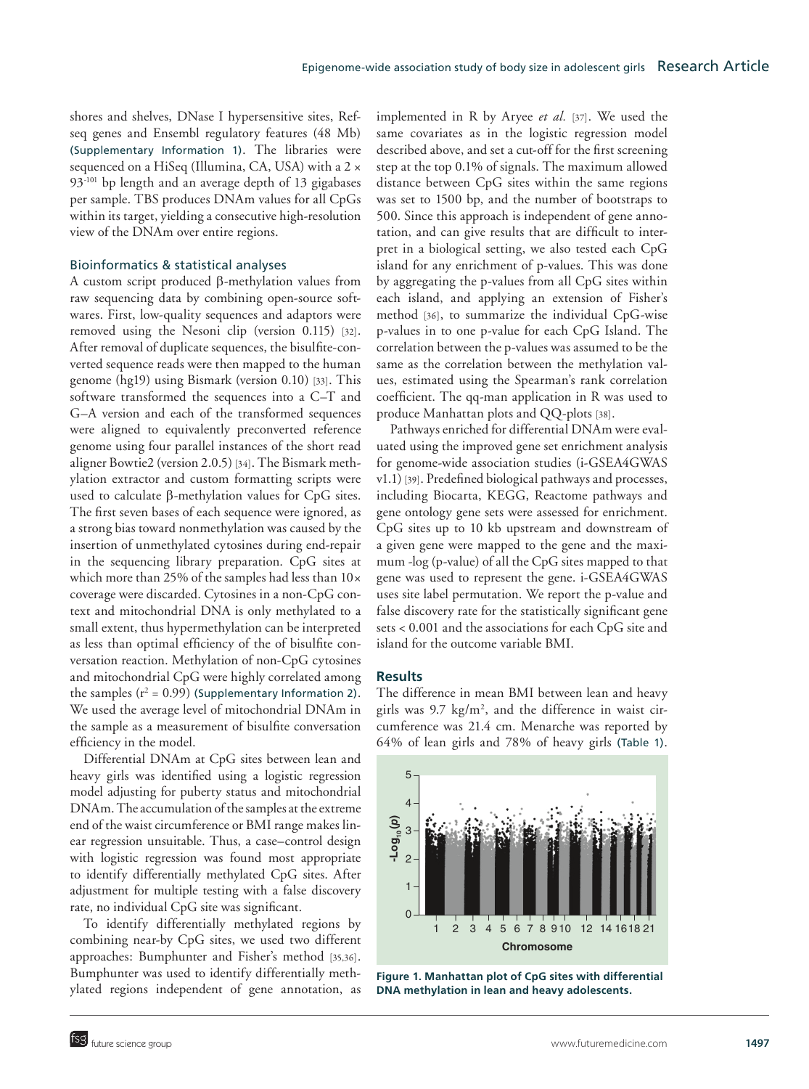shores and shelves, DNase I hypersensitive sites, Refseq genes and Ensembl regulatory features (48 Mb) (Supplementary Information 1). The libraries were sequenced on a HiSeq (Illumina, CA, USA) with a 2 × 93-101 bp length and an average depth of 13 gigabases per sample. TBS produces DNAm values for all CpGs within its target, yielding a consecutive high-resolution view of the DNAm over entire regions.

#### Bioinformatics & statistical analyses

A custom script produced β-methylation values from raw sequencing data by combining open-source softwares. First, low-quality sequences and adaptors were removed using the Nesoni clip (version 0.115) [32]. After removal of duplicate sequences, the bisulfite-converted sequence reads were then mapped to the human genome (hg19) using Bismark (version 0.10) [33]. This software transformed the sequences into a C–T and G–A version and each of the transformed sequences were aligned to equivalently preconverted reference genome using four parallel instances of the short read aligner Bowtie2 (version 2.0.5) [34]. The Bismark methylation extractor and custom formatting scripts were used to calculate β-methylation values for CpG sites. The first seven bases of each sequence were ignored, as a strong bias toward nonmethylation was caused by the insertion of unmethylated cytosines during end-repair in the sequencing library preparation. CpG sites at which more than 25% of the samples had less than  $10 \times$ coverage were discarded. Cytosines in a non-CpG context and mitochondrial DNA is only methylated to a small extent, thus hypermethylation can be interpreted as less than optimal efficiency of the of bisulfite conversation reaction. Methylation of non-CpG cytosines and mitochondrial CpG were highly correlated among the samples  $(r^2 = 0.99)$  (Supplementary Information 2). We used the average level of mitochondrial DNAm in the sample as a measurement of bisulfite conversation efficiency in the model.

Differential DNAm at CpG sites between lean and heavy girls was identified using a logistic regression model adjusting for puberty status and mitochondrial DNAm. The accumulation of the samples at the extreme end of the waist circumference or BMI range makes linear regression unsuitable. Thus, a case–control design with logistic regression was found most appropriate to identify differentially methylated CpG sites. After adjustment for multiple testing with a false discovery rate, no individual CpG site was significant.

To identify differentially methylated regions by combining near-by CpG sites, we used two different approaches: Bumphunter and Fisher's method [35,36]. Bumphunter was used to identify differentially methylated regions independent of gene annotation, as implemented in R by Aryee *et al.* [37]. We used the same covariates as in the logistic regression model described above, and set a cut-off for the first screening step at the top 0.1% of signals. The maximum allowed distance between CpG sites within the same regions was set to 1500 bp, and the number of bootstraps to 500. Since this approach is independent of gene annotation, and can give results that are difficult to interpret in a biological setting, we also tested each CpG island for any enrichment of p-values. This was done by aggregating the p-values from all CpG sites within each island, and applying an extension of Fisher's method [36], to summarize the individual CpG-wise p-values in to one p-value for each CpG Island. The correlation between the p-values was assumed to be the same as the correlation between the methylation values, estimated using the Spearman's rank correlation coefficient. The qq-man application in R was used to produce Manhattan plots and QQ-plots [38].

Pathways enriched for differential DNAm were evaluated using the improved gene set enrichment analysis for genome-wide association studies (i-GSEA4GWAS v1.1) [39]. Predefined biological pathways and processes, including Biocarta, KEGG, Reactome pathways and gene ontology gene sets were assessed for enrichment. CpG sites up to 10 kb upstream and downstream of a given gene were mapped to the gene and the maximum -log (p-value) of all the CpG sites mapped to that gene was used to represent the gene. i-GSEA4GWAS uses site label permutation. We report the p-value and false discovery rate for the statistically significant gene sets < 0.001 and the associations for each CpG site and island for the outcome variable BMI.

#### **Results**

The difference in mean BMI between lean and heavy girls was  $9.7 \text{ kg/m}^2$ , and the difference in waist circumference was 21.4 cm. Menarche was reported by 64% of lean girls and 78% of heavy girls (Table 1).



**Figure 1. Manhattan plot of CpG sites with differential DNA methylation in lean and heavy adolescents.**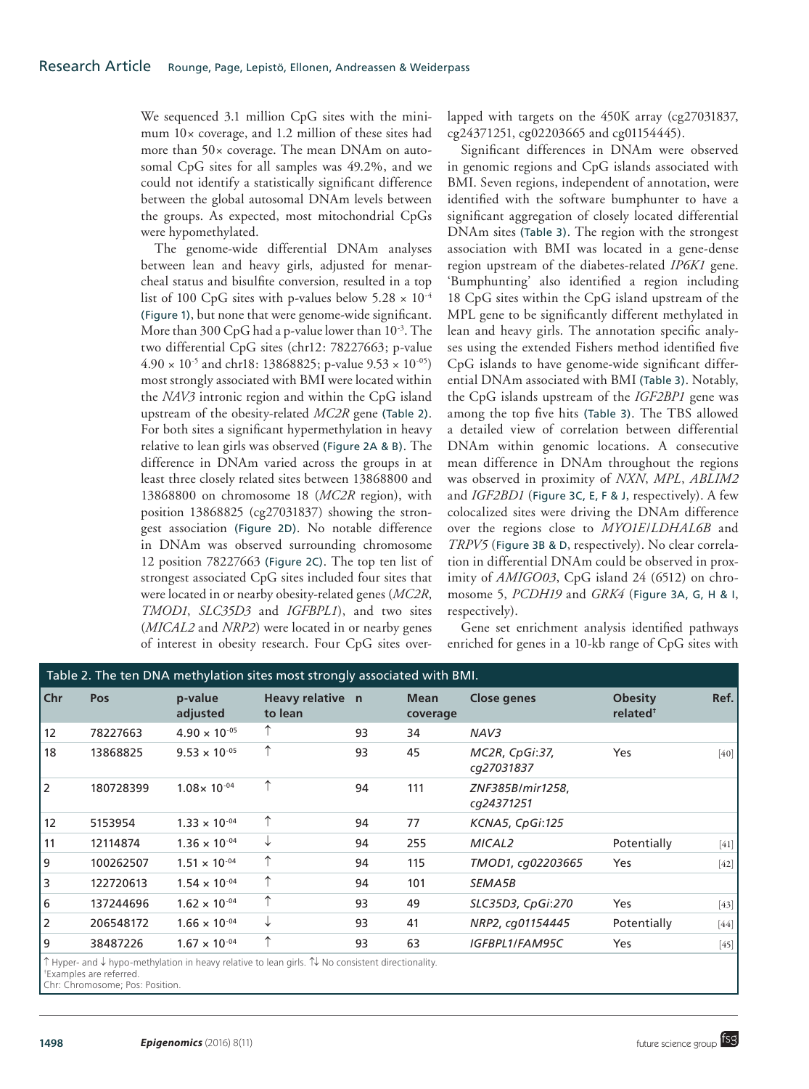We sequenced 3.1 million CpG sites with the minimum 10× coverage, and 1.2 million of these sites had more than 50× coverage. The mean DNAm on autosomal CpG sites for all samples was 49.2%, and we could not identify a statistically significant difference between the global autosomal DNAm levels between the groups. As expected, most mitochondrial CpGs were hypomethylated.

The genome-wide differential DNAm analyses between lean and heavy girls, adjusted for menarcheal status and bisulfite conversion, resulted in a top list of 100 CpG sites with p-values below  $5.28 \times 10^{-4}$ (Figure 1), but none that were genome-wide significant. More than 300 CpG had a p-value lower than 10-3. The two differential CpG sites (chr12: 78227663; p-value  $4.90 \times 10^{-5}$  and chr18: 13868825; p-value  $9.53 \times 10^{-05}$ ) most strongly associated with BMI were located within the *NAV3* intronic region and within the CpG island upstream of the obesity-related *MC2R* gene (Table 2). For both sites a significant hypermethylation in heavy relative to lean girls was observed (Figure 2A & B). The difference in DNAm varied across the groups in at least three closely related sites between 13868800 and 13868800 on chromosome 18 (*MC2R* region), with position 13868825 (cg27031837) showing the strongest association (Figure 2D). No notable difference in DNAm was observed surrounding chromosome 12 position 78227663 (Figure 2C). The top ten list of strongest associated CpG sites included four sites that were located in or nearby obesity-related genes (*MC2R*, *TMOD1*, *SLC35D3* and *IGFBPL1*), and two sites (*MICAL2* and *NRP2*) were located in or nearby genes of interest in obesity research. Four CpG sites overlapped with targets on the 450K array (cg27031837, cg24371251, cg02203665 and cg01154445).

Significant differences in DNAm were observed in genomic regions and CpG islands associated with BMI. Seven regions, independent of annotation, were identified with the software bumphunter to have a significant aggregation of closely located differential DNAm sites (Table 3). The region with the strongest association with BMI was located in a gene-dense region upstream of the diabetes-related *IP6K1* gene. 'Bumphunting' also identified a region including 18 CpG sites within the CpG island upstream of the MPL gene to be significantly different methylated in lean and heavy girls. The annotation specific analyses using the extended Fishers method identified five CpG islands to have genome-wide significant differential DNAm associated with BMI (Table 3). Notably, the CpG islands upstream of the *IGF2BP1* gene was among the top five hits (Table 3). The TBS allowed a detailed view of correlation between differential DNAm within genomic locations. A consecutive mean difference in DNAm throughout the regions was observed in proximity of *NXN*, *MPL*, *ABLIM2* and *IGF2BD1* (Figure 3C, E, F & J, respectively). A few colocalized sites were driving the DNAm difference over the regions close to *MYO1E*/*LDHAL6B* and *TRPV5* (Figure 3B & D, respectively). No clear correlation in differential DNAm could be observed in proximity of *AMIGO03*, CpG island 24 (6512) on chromosome 5, *PCDH19* and *GRK4* (Figure 3A, G, H & I, respectively).

Gene set enrichment analysis identified pathways enriched for genes in a 10-kb range of CpG sites with

|                 | Table 2. The ten DNA methylation sites most strongly associated with BMI. |                        |                                                                                                                 |                                              |                         |                                |                                        |        |
|-----------------|---------------------------------------------------------------------------|------------------------|-----------------------------------------------------------------------------------------------------------------|----------------------------------------------|-------------------------|--------------------------------|----------------------------------------|--------|
| Chr             | <b>Pos</b>                                                                | p-value<br>adjusted    | Heavy relative n<br>to lean                                                                                     |                                              | <b>Mean</b><br>coverage | Close genes                    | <b>Obesity</b><br>related <sup>+</sup> | Ref.   |
| 12              | 78227663                                                                  | $4.90 \times 10^{-05}$ |                                                                                                                 | 93                                           | 34                      | NAV <sub>3</sub>               |                                        |        |
| 18              | 13868825                                                                  | $9.53 \times 10^{-05}$ | ↑                                                                                                               | 93                                           | 45                      | MC2R, CpGi:37,<br>cg27031837   | <b>Yes</b>                             | [40]   |
| 2               | 180728399                                                                 | $1.08 \times 10^{-04}$ | ↑                                                                                                               | 94                                           | 111                     | ZNF385B/mir1258,<br>cg24371251 |                                        |        |
| 12              | 5153954                                                                   | $1.33 \times 10^{-04}$ | ↑                                                                                                               | 94                                           | 77                      | KCNA5, CpGi:125                |                                        |        |
| 11              | 12114874                                                                  | $1.36 \times 10^{-04}$ | ↓                                                                                                               | 94                                           | 255                     | MICAL2                         | Potentially                            | $[41]$ |
| 9               | 100262507                                                                 | $1.51 \times 10^{-04}$ | ↑                                                                                                               | 94                                           | 115                     | TMOD1, cg02203665              | Yes                                    | $[42]$ |
| 3               | 122720613                                                                 | $1.54 \times 10^{-04}$ | ↑                                                                                                               | 94                                           | 101                     | SEMA5B                         |                                        |        |
| 6               | 137244696                                                                 | $1.62 \times 10^{-04}$ | ↑                                                                                                               | 93                                           | 49                      | SLC35D3, CpGi:270              | <b>Yes</b>                             | $[43]$ |
| 2               | 206548172                                                                 | $1.66 \times 10^{-04}$ | ↓                                                                                                               | 93                                           | 41                      | NRP2, cg01154445               | Potentially                            | $[44]$ |
| 9               | 38487226                                                                  | $1.67 \times 10^{-04}$ | ↑                                                                                                               | 93                                           | 63                      | <b>IGFBPL1/FAM95C</b>          | Yes                                    | $[45]$ |
| $A \cdot \cdot$ | .<br>the contract of the contract of the contract of the con-             |                        | the contract of the contract of the contract of the contract of the contract of the contract of the contract of | the company of the company of the company of |                         |                                |                                        |        |

↑ Hyper- and ↓ hypo-methylation in heavy relative to lean girls. ↑↓ No consistent directionality.

† Examples are referred. Chr: Chromosome; Pos: Position.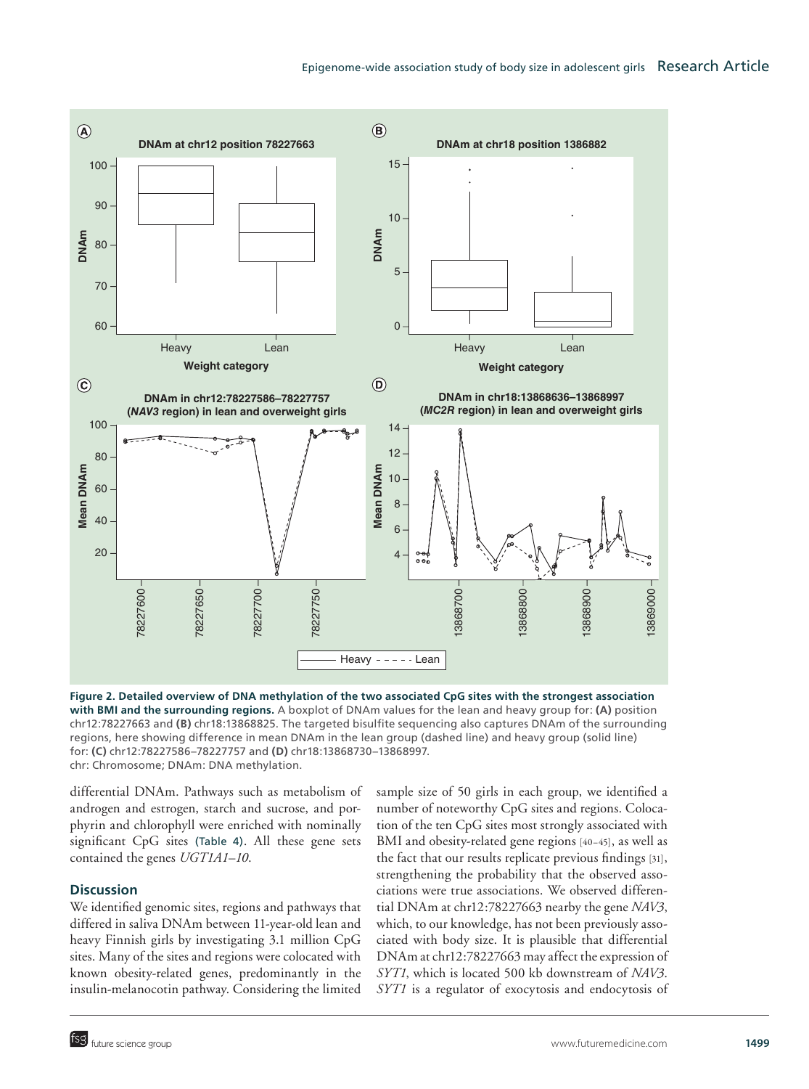

**Figure 2. Detailed overview of DNA methylation of the two associated CpG sites with the strongest association with BMI and the surrounding regions.** A boxplot of DNAm values for the lean and heavy group for: **(A)** position chr12:78227663 and **(B)** chr18:13868825. The targeted bisulfite sequencing also captures DNAm of the surrounding regions, here showing difference in mean DNAm in the lean group (dashed line) and heavy group (solid line) for: **(C)** chr12:78227586–78227757 and **(D)** chr18:13868730–13868997. chr: Chromosome; DNAm: DNA methylation.

differential DNAm. Pathways such as metabolism of androgen and estrogen, starch and sucrose, and porphyrin and chlorophyll were enriched with nominally significant CpG sites (Table 4). All these gene sets contained the genes *UGT1A1*–*10*.

### **Discussion**

We identified genomic sites, regions and pathways that differed in saliva DNAm between 11-year-old lean and heavy Finnish girls by investigating 3.1 million CpG sites. Many of the sites and regions were colocated with known obesity-related genes, predominantly in the insulin-melanocotin pathway. Considering the limited sample size of 50 girls in each group, we identified a number of noteworthy CpG sites and regions. Colocation of the ten CpG sites most strongly associated with BMI and obesity-related gene regions [40–45], as well as the fact that our results replicate previous findings [31], strengthening the probability that the observed associations were true associations. We observed differential DNAm at chr12:78227663 nearby the gene *NAV3*, which, to our knowledge, has not been previously associated with body size. It is plausible that differential DNAm at chr12:78227663 may affect the expression of *SYT1*, which is located 500 kb downstream of *NAV3*. *SYT1* is a regulator of exocytosis and endocytosis of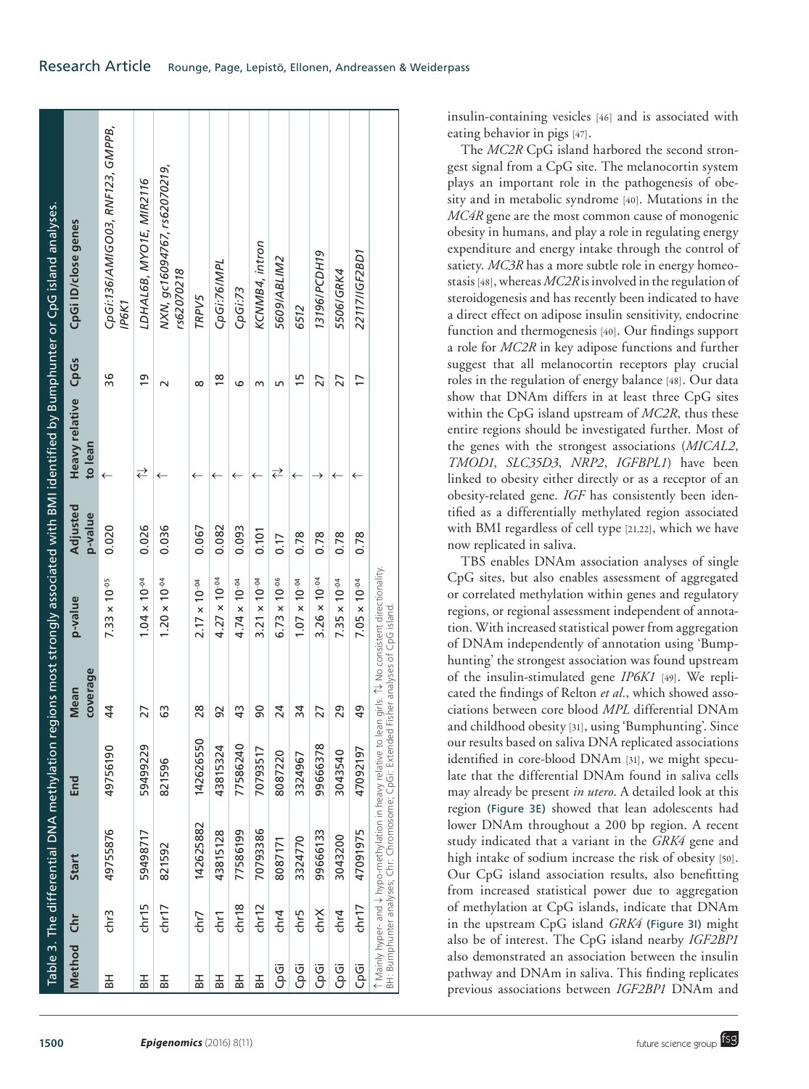|                                                                                                              | 8087171<br>821592<br>chr15<br>chr18<br>cnr12<br>chr7<br>chr4<br>chr5<br>chr3<br>chrX<br>chr4<br>chr1<br>chr7 | 142625882<br>49755876<br>70793386<br>77586199<br>59498717<br>99666133<br>43815128<br>3324770<br>3043200<br>Start | 142626550<br>59499229<br>77586240<br>99666378<br>49756190<br>43815324<br>70793517<br>8087220<br>3043540<br>3324967<br>821596<br>End | coverage<br>Mean<br>$\frac{4}{4}$<br>$\frac{8}{2}$<br>90<br>63<br>43<br>24<br>34<br>29<br>27<br>92<br>27 | $4.27 \times 10^{-04}$<br>$3.26 \times 10^{-04}$<br>$6.73 \times 10^{-06}$<br>$1.04 \times 10^{-04}$<br>$1.20 \times 10^{-04}$<br>$4.74 \times 10^{-04}$<br>$3.21 \times 10^{-04}$<br>$1.07 \times 10^{-04}$<br>$7.33 \times 10^{-05}$<br>$7.35 \times 10^{-04}$<br>$2.17 \times 10^{-04}$<br>p-value | Adjusted<br>p-value<br>0.036<br>0.020<br>0.026<br>0.082<br>0.067<br>0.093<br>0.101<br>0.78<br>0.78<br>0.78<br>0.17 | Heavy relative CpGs<br>to lean<br>⇄<br>⇄<br>$\leftarrow$<br>$\leftarrow$<br>$\overline{\phantom{0}}$<br>←<br>← | 36<br><u>၅</u><br>$\frac{8}{1}$<br>15<br>27<br>27<br>Б<br>∞<br>ဖ<br>$\sim$<br>m | CpGi:136/AMIGO03, RNF123, GMPPB,<br>NXN, gc16094767, rs62070219,<br>LDHAL6B, MYO1E, MIR2116<br>CpGi ID/close genes<br>KCNMB4, intron<br>13196/PCDH19<br><b>S609/ABLIM2</b><br>CpGi:76/MPL<br>rs62070218<br>5506/GRK4<br>CpGi:73<br>TRPV5<br><b>IP6K1</b><br>6512 |
|--------------------------------------------------------------------------------------------------------------|--------------------------------------------------------------------------------------------------------------|------------------------------------------------------------------------------------------------------------------|-------------------------------------------------------------------------------------------------------------------------------------|----------------------------------------------------------------------------------------------------------|-------------------------------------------------------------------------------------------------------------------------------------------------------------------------------------------------------------------------------------------------------------------------------------------------------|--------------------------------------------------------------------------------------------------------------------|----------------------------------------------------------------------------------------------------------------|---------------------------------------------------------------------------------|------------------------------------------------------------------------------------------------------------------------------------------------------------------------------------------------------------------------------------------------------------------|
| 22117/IGF2BD1<br>17<br>$\leftarrow$<br>0.78<br>$7.05 \times 10^{-04}$<br>49<br>47092197<br>47091975<br>chr17 |                                                                                                              |                                                                                                                  |                                                                                                                                     |                                                                                                          |                                                                                                                                                                                                                                                                                                       |                                                                                                                    |                                                                                                                |                                                                                 |                                                                                                                                                                                                                                                                  |

insulin-containing vesicles [46] and is associated with eating behavior in pigs [47].

The *MC2R* CpG island harbored the second strongest signal from a CpG site. The melanocortin system plays an important role in the pathogenesis of obesity and in metabolic syndrome [40]. Mutations in the *MC4R* gene are the most common cause of monogenic obesity in humans, and play a role in regulating energy expenditure and energy intake through the control of satiety. *MC3R* has a more subtle role in energy homeostasis [48], whereas *MC2R* is involved in the regulation of steroidogenesis and has recently been indicated to have a direct effect on adipose insulin sensitivity, endocrine function and thermogenesis [40]. Our findings support a role for *MC2R* in key adipose functions and further suggest that all melanocortin receptors play crucial roles in the regulation of energy balance [48]. Our data show that DNAm differs in at least three CpG sites within the CpG island upstream of *MC2R*, thus these entire regions should be investigated further. Most of the genes with the strongest associations (*MICAL2*, *TMOD1*, *SLC35D3*, *NRP2*, *IGFBPL1*) have been linked to obesity either directly or as a receptor of an obesity-related gene. *IGF* has consistently been identified as a differentially methylated region associated with BMI regardless of cell type [21,22], which we have now replicated in saliva.

TBS enables DNAm association analyses of single CpG sites, but also enables assessment of aggregated or correlated methylation within genes and regulatory regions, or regional assessment independent of annotation. With increased statistical power from aggregation of DNAm independently of annotation using 'Bumphunting' the strongest association was found upstream of the insulin-stimulated gene *IP6K1* [49]. We replicated the findings of Relton *et al.*, which showed associations between core blood *MPL* differential DNAm and childhood obesity [31], using 'Bumphunting'. Since our results based on saliva DNA replicated associations identified in core-blood DNAm [31], we might speculate that the differential DNAm found in saliva cells may already be present *in utero*. A detailed look at this region (Figure 3E) showed that lean adolescents had lower DNAm throughout a 200 bp region. A recent study indicated that a variant in the *GRK4* gene and high intake of sodium increase the risk of obesity [50]. Our CpG island association results, also benefitting from increased statistical power due to aggregation of methylation at CpG islands, indicate that DNAm in the upstream CpG island *GRK4* (Figure 3I) might also be of interest. The CpG island nearby *IGF2BP1* also demonstrated an association between the insulin pathway and DNAm in saliva. This finding replicates previous associations between *IGF2BP1* DNAm and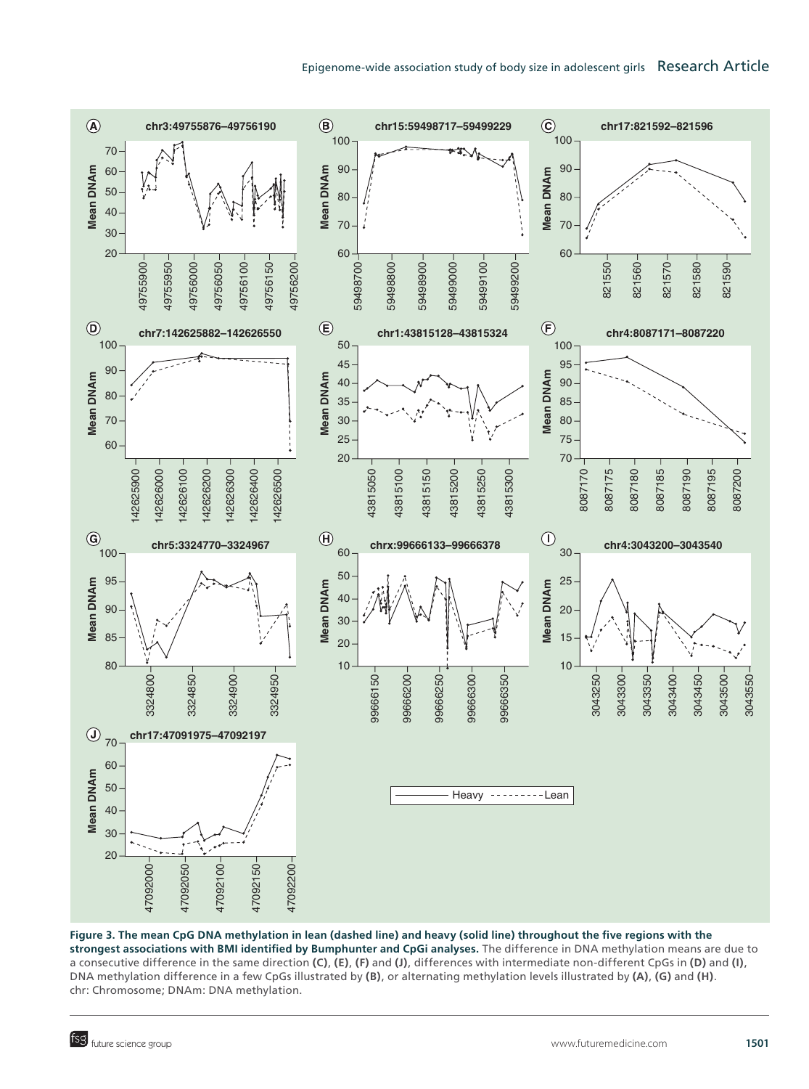## Epigenome-wide association study of body size in adolescent girls Research Article



**Figure 3. The mean CpG DNA methylation in lean (dashed line) and heavy (solid line) throughout the five regions with the strongest associations with BMI identified by Bumphunter and CpGi analyses.** The difference in DNA methylation means are due to a consecutive difference in the same direction **(C)**, **(E)**, **(F)** and **(J)**, differences with intermediate non-different CpGs in **(D)** and **(I)**, DNA methylation difference in a few CpGs illustrated by **(B)**, or alternating methylation levels illustrated by **(A)**, **(G)** and **(H)**. chr: Chromosome; DNAm: DNA methylation.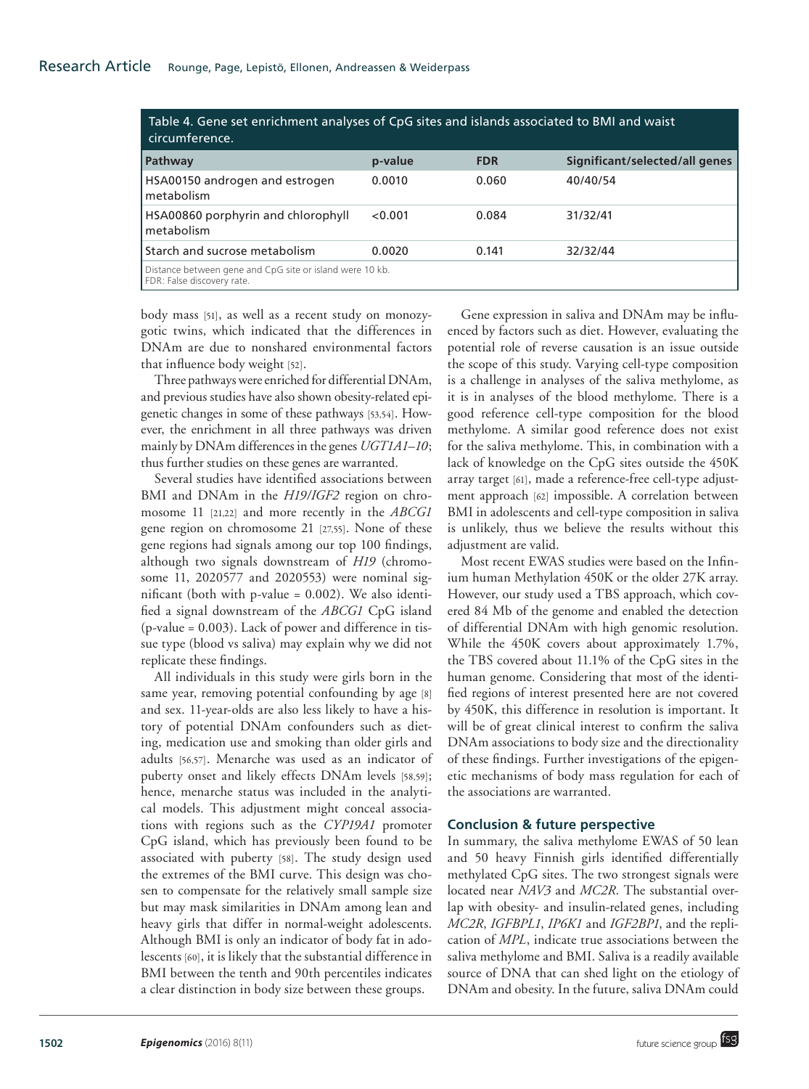| Table 4. Gene set enrichment analyses of CpG sites and islands associated to BMI and waist<br>circumference. |         |            |                                |
|--------------------------------------------------------------------------------------------------------------|---------|------------|--------------------------------|
| <b>Pathway</b>                                                                                               | p-value | <b>FDR</b> | Significant/selected/all genes |
| HSA00150 androgen and estrogen<br>metabolism                                                                 | 0.0010  | 0.060      | 40/40/54                       |
| HSA00860 porphyrin and chlorophyll<br>metabolism                                                             | < 0.001 | 0.084      | 31/32/41                       |
| Starch and sucrose metabolism                                                                                | 0.0020  | 0.141      | 32/32/44                       |
| Distance between gene and CpG site or island were 10 kb.<br>FDR: False discovery rate.                       |         |            |                                |

body mass [51], as well as a recent study on monozygotic twins, which indicated that the differences in DNAm are due to nonshared environmental factors that influence body weight [52].

Three pathways were enriched for differential DNAm, and previous studies have also shown obesity-related epigenetic changes in some of these pathways [53,54]. However, the enrichment in all three pathways was driven mainly by DNAm differences in the genes *UGT1A1*–*10*; thus further studies on these genes are warranted.

Several studies have identified associations between BMI and DNAm in the *H19/IGF2* region on chromosome 11 [21,22] and more recently in the *ABCG1* gene region on chromosome 21 [27,55]. None of these gene regions had signals among our top 100 findings, although two signals downstream of *H19* (chromosome 11, 2020577 and 2020553) were nominal significant (both with p-value = 0.002). We also identified a signal downstream of the *ABCG1* CpG island  $(p$ -value = 0.003). Lack of power and difference in tissue type (blood vs saliva) may explain why we did not replicate these findings.

All individuals in this study were girls born in the same year, removing potential confounding by age [8] and sex. 11-year-olds are also less likely to have a history of potential DNAm confounders such as dieting, medication use and smoking than older girls and adults [56,57]. Menarche was used as an indicator of puberty onset and likely effects DNAm levels [58,59]; hence, menarche status was included in the analytical models. This adjustment might conceal associations with regions such as the *CYP19A1* promoter CpG island, which has previously been found to be associated with puberty [58]. The study design used the extremes of the BMI curve. This design was chosen to compensate for the relatively small sample size but may mask similarities in DNAm among lean and heavy girls that differ in normal-weight adolescents. Although BMI is only an indicator of body fat in adolescents [60], it is likely that the substantial difference in BMI between the tenth and 90th percentiles indicates a clear distinction in body size between these groups.

Gene expression in saliva and DNAm may be influenced by factors such as diet. However, evaluating the potential role of reverse causation is an issue outside the scope of this study. Varying cell-type composition is a challenge in analyses of the saliva methylome, as it is in analyses of the blood methylome. There is a good reference cell-type composition for the blood methylome. A similar good reference does not exist for the saliva methylome. This, in combination with a lack of knowledge on the CpG sites outside the 450K array target [61], made a reference-free cell-type adjustment approach [62] impossible. A correlation between BMI in adolescents and cell-type composition in saliva is unlikely, thus we believe the results without this adjustment are valid.

Most recent EWAS studies were based on the Infinium human Methylation 450K or the older 27K array. However, our study used a TBS approach, which covered 84 Mb of the genome and enabled the detection of differential DNAm with high genomic resolution. While the 450K covers about approximately 1.7%, the TBS covered about 11.1% of the CpG sites in the human genome. Considering that most of the identified regions of interest presented here are not covered by 450K, this difference in resolution is important. It will be of great clinical interest to confirm the saliva DNAm associations to body size and the directionality of these findings. Further investigations of the epigenetic mechanisms of body mass regulation for each of the associations are warranted.

## **Conclusion & future perspective**

In summary, the saliva methylome EWAS of 50 lean and 50 heavy Finnish girls identified differentially methylated CpG sites. The two strongest signals were located near *NAV3* and *MC2R*. The substantial overlap with obesity- and insulin-related genes, including *MC2R*, *IGFBPL1*, *IP6K1* and *IGF2BP1*, and the replication of *MPL*, indicate true associations between the saliva methylome and BMI. Saliva is a readily available source of DNA that can shed light on the etiology of DNAm and obesity. In the future, saliva DNAm could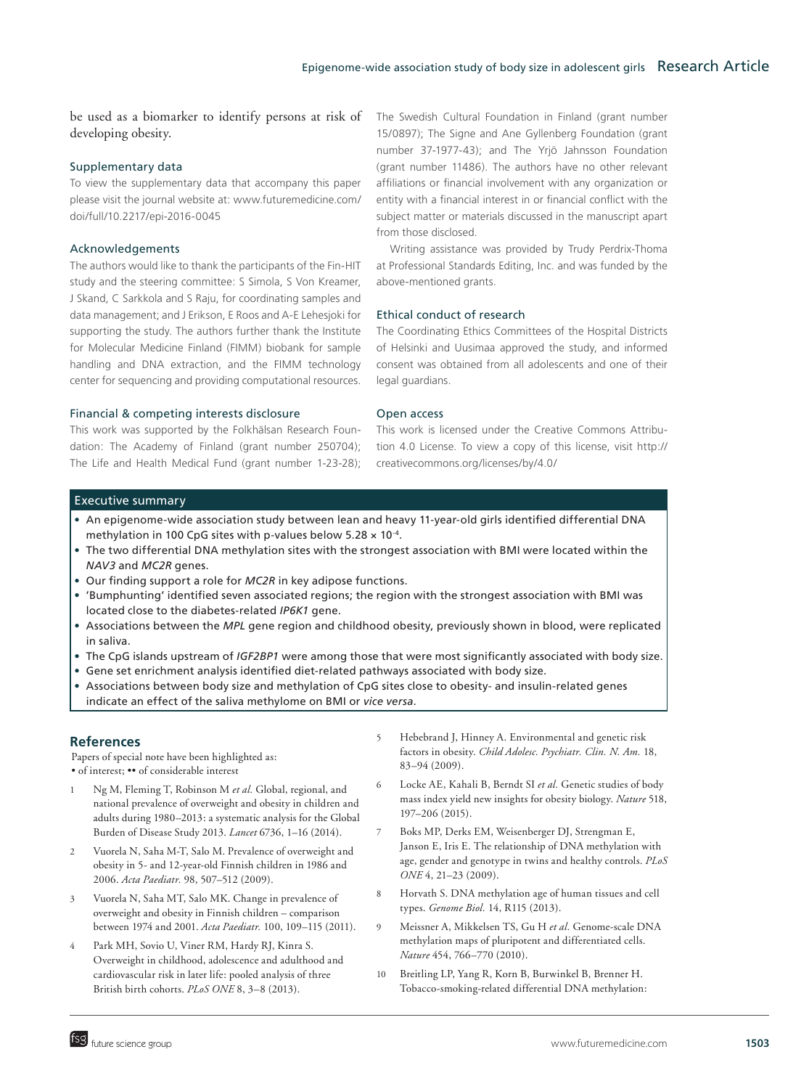be used as a biomarker to identify persons at risk of developing obesity.

#### Supplementary data

To view the supplementary data that accompany this paper please visit the journal website at: www.futuremedicine.com/ doi/full/10.2217/epi-2016-0045

#### Acknowledgements

The authors would like to thank the participants of the Fin-HIT study and the steering committee: S Simola, S Von Kreamer, J Skand, C Sarkkola and S Raju, for coordinating samples and data management; and J Erikson, E Roos and A-E Lehesjoki for supporting the study. The authors further thank the Institute for Molecular Medicine Finland (FIMM) biobank for sample handling and DNA extraction, and the FIMM technology center for sequencing and providing computational resources.

#### Financial & competing interests disclosure

This work was supported by the Folkhälsan Research Foundation: The Academy of Finland (grant number 250704); The Life and Health Medical Fund (grant number 1-23-28); The Swedish Cultural Foundation in Finland (grant number 15/0897); The Signe and Ane Gyllenberg Foundation (grant number 37-1977-43); and The Yrjö Jahnsson Foundation (grant number 11486). The authors have no other relevant affiliations or financial involvement with any organization or entity with a financial interest in or financial conflict with the subject matter or materials discussed in the manuscript apart from those disclosed.

Writing assistance was provided by Trudy Perdrix-Thoma at Professional Standards Editing, Inc. and was funded by the above-mentioned grants.

#### Ethical conduct of research

The Coordinating Ethics Committees of the Hospital Districts of Helsinki and Uusimaa approved the study, and informed consent was obtained from all adolescents and one of their legal guardians.

#### Open access

This work is licensed under the Creative Commons Attribution 4.0 License. To view a copy of this license, visit http:// creativecommons.org/licenses/by/4.0/

#### Executive summary

- • An epigenome-wide association study between lean and heavy 11-year-old girls identified differential DNA methylation in 100 CpG sites with p-values below  $5.28 \times 10^{-4}$ .
- • The two differential DNA methylation sites with the strongest association with BMI were located within the *NAV3* and *MC2R* genes.
- • Our finding support a role for *MC2R* in key adipose functions.
- • 'Bumphunting' identified seven associated regions; the region with the strongest association with BMI was located close to the diabetes-related *IP6K1* gene.
- • Associations between the *MPL* gene region and childhood obesity, previously shown in blood, were replicated in saliva.
- • The CpG islands upstream of *IGF2BP1* were among those that were most significantly associated with body size.
- • Gene set enrichment analysis identified diet-related pathways associated with body size.
- Associations between body size and methylation of CpG sites close to obesity- and insulin-related genes indicate an effect of the saliva methylome on BMI or *vice versa*.

#### **References**

Papers of special note have been highlighted as: • of interest; •• of considerable interest

- 1 Ng M, Fleming T, Robinson M *et al.* Global, regional, and national prevalence of overweight and obesity in children and adults during 1980–2013: a systematic analysis for the Global Burden of Disease Study 2013. *Lancet* 6736, 1–16 (2014).
- 2 Vuorela N, Saha M-T, Salo M. Prevalence of overweight and obesity in 5- and 12-year-old Finnish children in 1986 and 2006. *Acta Paediatr.* 98, 507–512 (2009).
- 3 Vuorela N, Saha MT, Salo MK. Change in prevalence of overweight and obesity in Finnish children – comparison between 1974 and 2001. *Acta Paediatr.* 100, 109–115 (2011).
- Park MH, Sovio U, Viner RM, Hardy RJ, Kinra S. Overweight in childhood, adolescence and adulthood and cardiovascular risk in later life: pooled analysis of three British birth cohorts. *PLoS ONE* 8, 3–8 (2013).
- 5 Hebebrand J, Hinney A. Environmental and genetic risk factors in obesity. *Child Adolesc. Psychiatr. Clin. N. Am.* 18, 83–94 (2009).
- 6 Locke AE, Kahali B, Berndt SI *et al.* Genetic studies of body mass index yield new insights for obesity biology. *Nature* 518, 197–206 (2015).
- 7 Boks MP, Derks EM, Weisenberger DJ, Strengman E, Janson E, Iris E. The relationship of DNA methylation with age, gender and genotype in twins and healthy controls. *PLoS ONE* 4, 21–23 (2009).
- 8 Horvath S. DNA methylation age of human tissues and cell types. *Genome Biol.* 14, R115 (2013).
- 9 Meissner A, Mikkelsen TS, Gu H *et al.* Genome-scale DNA methylation maps of pluripotent and differentiated cells. *Nature* 454, 766–770 (2010).
- 10 Breitling LP, Yang R, Korn B, Burwinkel B, Brenner H. Tobacco-smoking-related differential DNA methylation: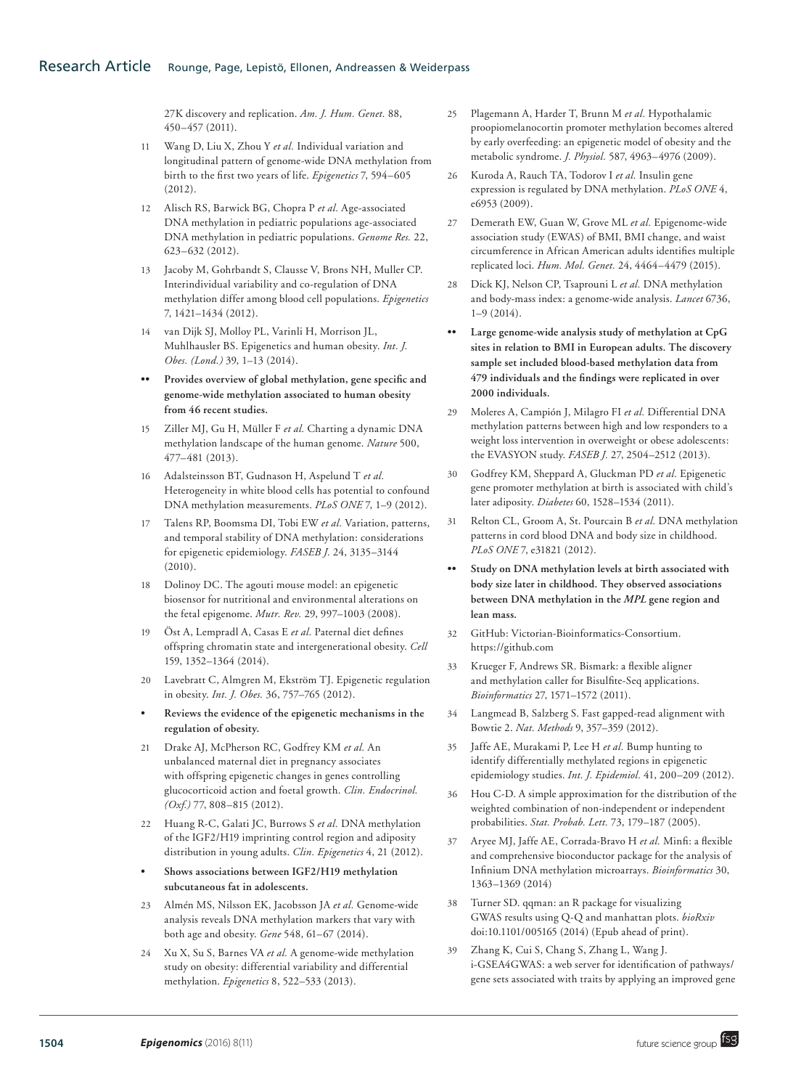27K discovery and replication. *Am. J. Hum. Genet.* 88, 450–457 (2011).

- 11 Wang D, Liu X, Zhou Y *et al.* Individual variation and longitudinal pattern of genome-wide DNA methylation from birth to the first two years of life. *Epigenetics* 7, 594–605 (2012).
- 12 Alisch RS, Barwick BG, Chopra P *et al.* Age-associated DNA methylation in pediatric populations age-associated DNA methylation in pediatric populations. *Genome Res.* 22, 623–632 (2012).
- 13 Jacoby M, Gohrbandt S, Clausse V, Brons NH, Muller CP. Interindividual variability and co-regulation of DNA methylation differ among blood cell populations. *Epigenetics* 7, 1421–1434 (2012).
- 14 van Dijk SJ, Molloy PL, Varinli H, Morrison JL, Muhlhausler BS. Epigenetics and human obesity. *Int. J. Obes. (Lond.)* 39, 1–13 (2014).
- **•• Provides overview of global methylation, gene specific and genome-wide methylation associated to human obesity from 46 recent studies.**
- 15 Ziller MJ, Gu H, Müller F *et al.* Charting a dynamic DNA methylation landscape of the human genome. *Nature* 500, 477–481 (2013).
- 16 Adalsteinsson BT, Gudnason H, Aspelund T *et al.* Heterogeneity in white blood cells has potential to confound DNA methylation measurements. *PLoS ONE* 7, 1–9 (2012).
- 17 Talens RP, Boomsma DI, Tobi EW *et al.* Variation, patterns, and temporal stability of DNA methylation: considerations for epigenetic epidemiology. *FASEB J.* 24, 3135–3144 (2010).
- 18 Dolinoy DC. The agouti mouse model: an epigenetic biosensor for nutritional and environmental alterations on the fetal epigenome. *Mutr. Rev.* 29, 997–1003 (2008).
- 19 Öst A, Lempradl A, Casas E *et al.* Paternal diet defines offspring chromatin state and intergenerational obesity. *Cell* 159, 1352–1364 (2014).
- 20 Lavebratt C, Almgren M, Ekström TJ. Epigenetic regulation in obesity. *Int. J. Obes.* 36, 757–765 (2012).
- **• Reviews the evidence of the epigenetic mechanisms in the regulation of obesity.**
- 21 Drake AJ, McPherson RC, Godfrey KM *et al.* An unbalanced maternal diet in pregnancy associates with offspring epigenetic changes in genes controlling glucocorticoid action and foetal growth. *Clin. Endocrinol. (Oxf.)* 77, 808–815 (2012).
- 22 Huang R-C, Galati JC, Burrows S *et al.* DNA methylation of the IGF2/H19 imprinting control region and adiposity distribution in young adults. *Clin. Epigenetics* 4, 21 (2012).
- **• Shows associations between IGF2/H19 methylation subcutaneous fat in adolescents.**
- 23 Almén MS, Nilsson EK, Jacobsson JA *et al.* Genome-wide analysis reveals DNA methylation markers that vary with both age and obesity. *Gene* 548, 61–67 (2014).
- 24 Xu X, Su S, Barnes VA *et al.* A genome-wide methylation study on obesity: differential variability and differential methylation. *Epigenetics* 8, 522–533 (2013).
- 25 Plagemann A, Harder T, Brunn M *et al.* Hypothalamic proopiomelanocortin promoter methylation becomes altered by early overfeeding: an epigenetic model of obesity and the metabolic syndrome. *J. Physiol.* 587, 4963–4976 (2009).
- 26 Kuroda A, Rauch TA, Todorov I *et al.* Insulin gene expression is regulated by DNA methylation. *PLoS ONE* 4, e6953 (2009).
- 27 Demerath EW, Guan W, Grove ML *et al.* Epigenome-wide association study (EWAS) of BMI, BMI change, and waist circumference in African American adults identifies multiple replicated loci. *Hum. Mol. Genet.* 24, 4464–4479 (2015).
- 28 Dick KJ, Nelson CP, Tsaprouni L *et al.* DNA methylation and body-mass index: a genome-wide analysis. *Lancet* 6736,  $1-9(2014)$ .
- **•• Large genome-wide analysis study of methylation at CpG sites in relation to BMI in European adults. The discovery sample set included blood-based methylation data from 479 individuals and the findings were replicated in over 2000 individuals.**
- 29 Moleres A, Campión J, Milagro FI *et al.* Differential DNA methylation patterns between high and low responders to a weight loss intervention in overweight or obese adolescents: the EVASYON study. *FASEB J.* 27, 2504–2512 (2013).
- 30 Godfrey KM, Sheppard A, Gluckman PD *et al.* Epigenetic gene promoter methylation at birth is associated with child's later adiposity. *Diabetes* 60, 1528–1534 (2011).
- 31 Relton CL, Groom A, St. Pourcain B *et al.* DNA methylation patterns in cord blood DNA and body size in childhood. *PLoS ONE* 7, e31821 (2012).
- **•• Study on DNA methylation levels at birth associated with body size later in childhood. They observed associations between DNA methylation in the** *MPL* **gene region and lean mass.**
- 32 GitHub: Victorian-Bioinformatics-Consortium. [https://github.com](https://github.com/Victorian-Bioinformatics-Consortium/nesoni)
- 33 Krueger F, Andrews SR. Bismark: a flexible aligner and methylation caller for Bisulfite-Seq applications. *Bioinformatics* 27, 1571–1572 (2011).
- 34 Langmead B, Salzberg S. Fast gapped-read alignment with Bowtie 2. *Nat. Methods* 9, 357–359 (2012).
- 35 Jaffe AE, Murakami P, Lee H *et al.* Bump hunting to identify differentially methylated regions in epigenetic epidemiology studies. *Int. J. Epidemiol.* 41, 200–209 (2012).
- 36 Hou C-D. A simple approximation for the distribution of the weighted combination of non-independent or independent probabilities. *Stat. Probab. Lett.* 73, 179–187 (2005).
- 37 Aryee MJ, Jaffe AE, Corrada-Bravo H *et al.* Minfi: a flexible and comprehensive bioconductor package for the analysis of Infinium DNA methylation microarrays. *Bioinformatics* 30, 1363–1369 (2014)
- 38 Turner SD. qqman: an R package for visualizing GWAS results using Q-Q and manhattan plots. *bioRxiv* doi:10.1101/005165 (2014) (Epub ahead of print).
- 39 Zhang K, Cui S, Chang S, Zhang L, Wang J. i-GSEA4GWAS: a web server for identification of pathways/ gene sets associated with traits by applying an improved gene